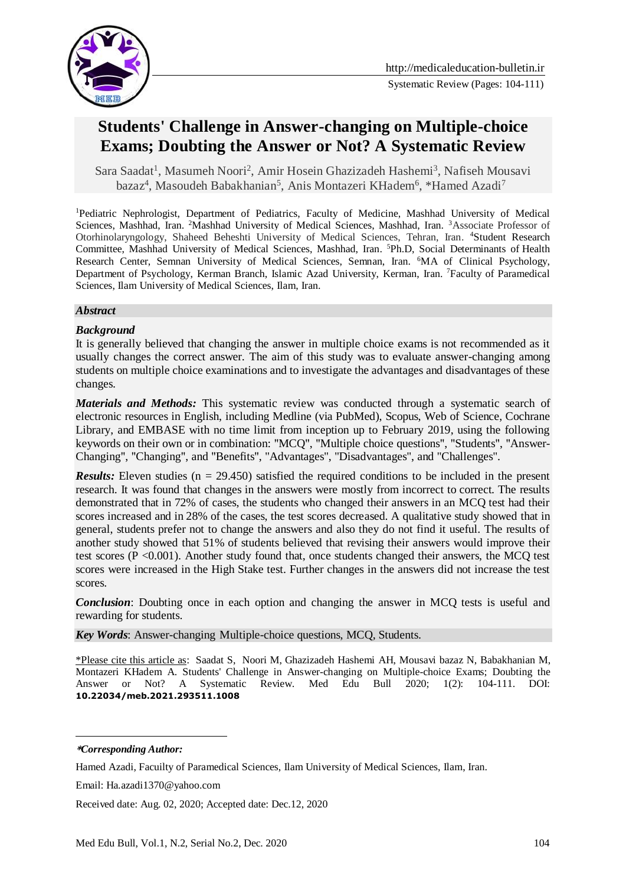

# **Students' Challenge in Answer-changing on Multiple-choice Exams; Doubting the Answer or Not? A Systematic Review**

[Sara Saadat](https://www.medicaleducation-bulletin.ir/?_action=article&au=921953&_au=Sara++Saadat)<sup>1</sup>, [Masumeh Noori](https://www.medicaleducation-bulletin.ir/?_action=article&au=947288&_au=Masumeh++Noori)<sup>2</sup>, Amir Hosein Ghazizadeh Hashemi<sup>3</sup>, Nafiseh Mousavi bazaz<sup>4</sup>, Masoudeh Babakhanian<sup>5</sup>, Anis Montazeri KHadem<sup>6</sup>, \*Hamed Azadi<sup>7</sup>

<sup>1</sup>Pediatric Nephrologist, Department of Pediatrics, Faculty of Medicine, Mashhad University of Medical Sciences, Mashhad, Iran. <sup>2</sup>Mashhad University of Medical Sciences, Mashhad, Iran. <sup>3</sup>Associate Professor of Otorhinolaryngology, Shaheed Beheshti University of Medical Sciences, Tehran, Iran. <sup>4</sup>Student Research Committee, Mashhad University of Medical Sciences, Mashhad, Iran. <sup>5</sup>Ph.D, Social Determinants of Health Research Center, Semnan University of Medical Sciences, Semnan, Iran. <sup>6</sup>MA of Clinical Psychology, Department of Psychology, Kerman Branch, Islamic Azad University, Kerman, Iran. <sup>7</sup>Faculty of Paramedical Sciences, Ilam University of Medical Sciences, Ilam, Iran.

#### *Abstract*

#### *Background*

It is generally believed that changing the answer in multiple choice exams is not recommended as it usually changes the correct answer. The aim of this study was to evaluate answer-changing among students on multiple choice examinations and to investigate the advantages and disadvantages of these changes.

*Materials and Methods:* This systematic review was conducted through a systematic search of electronic resources in English, including Medline (via PubMed), Scopus, Web of Science, Cochrane Library, and EMBASE with no time limit from inception up to February 2019, using the following keywords on their own or in combination: "MCQ", "Multiple choice questions", "Students", "Answer-Changing", "Changing", and "Benefits", "Advantages", "Disadvantages", and "Challenges".

*Results:* Eleven studies (n = 29.450) satisfied the required conditions to be included in the present research. It was found that changes in the answers were mostly from incorrect to correct. The results demonstrated that in 72% of cases, the students who changed their answers in an MCQ test had their scores increased and in 28% of the cases, the test scores decreased. A qualitative study showed that in general, students prefer not to change the answers and also they do not find it useful. The results of another study showed that 51% of students believed that revising their answers would improve their test scores (P <0.001). Another study found that, once students changed their answers, the MCQ test scores were increased in the High Stake test. Further changes in the answers did not increase the test scores.

*Conclusion*: Doubting once in each option and changing the answer in MCQ tests is useful and rewarding for students.

*Key Words*: Answer-changing Multiple-choice questions, MCQ, Students.

\*Please cite this article as: [Saadat](https://www.medicaleducation-bulletin.ir/?_action=article&au=921953&_au=Sara++Saadat) S, [Noori](https://www.medicaleducation-bulletin.ir/?_action=article&au=947288&_au=Masumeh++Noori) M, Ghazizadeh Hashemi AH, Mousavi bazaz N, Babakhanian M, Montazeri KHadem A. Students' Challenge in Answer-changing on Multiple-choice Exams; Doubting the Answer or Not? A Systematic Review. Med Edu Bull 2020; 1(2): 104-111. DOI: **10.22034/meb.2021.293511.1008**

-

**<sup>\*</sup>***Corresponding Author:*

Hamed Azadi, Facuilty of Paramedical Sciences, Ilam University of Medical Sciences, Ilam, Iran.

Email: Ha.azadi1370@yahoo.com

Received date: Aug. 02, 2020; Accepted date: Dec.12, 2020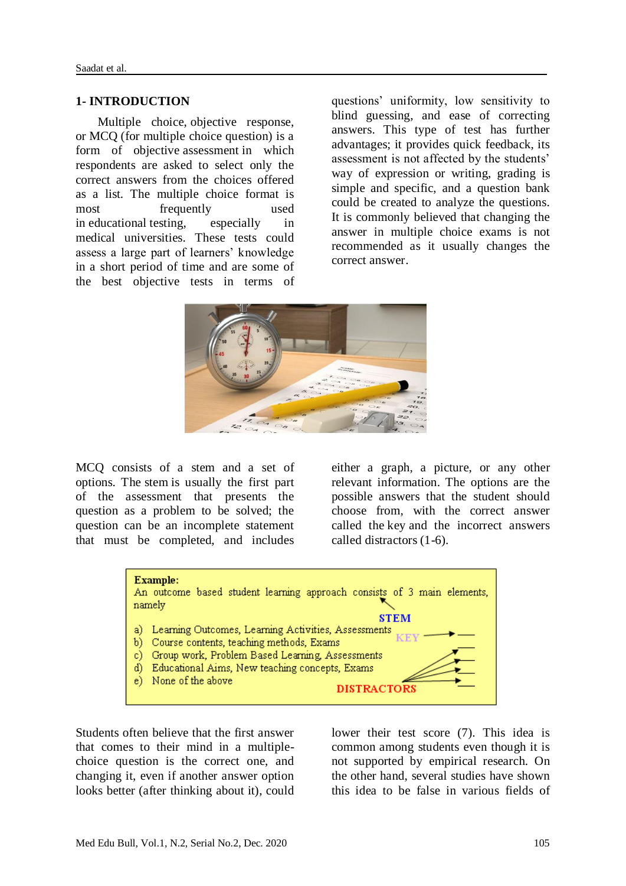#### **1- INTRODUCTION**

 Multiple choice, objective response, or MCQ (for multiple choice question) is a form of objective [assessment](https://en.wikipedia.org/wiki/Educational_assessment) in which respondents are asked to select only the correct answers from the choices offered as a list. The multiple choice format is most frequently used in [educational](https://en.wikipedia.org/wiki/Education) testing, especially in medical universities. These tests could assess a large part of learners' knowledge in a short period of time and are some of the best objective tests in terms of questions' uniformity, low sensitivity to blind guessing, and ease of correcting answers. This type of test has further advantages; it provides quick feedback, its assessment is not affected by the students' way of expression or writing, grading is simple and specific, and a question bank could be created to analyze the questions. It is commonly believed that changing the answer in multiple choice exams is not recommended as it usually changes the correct answer.



MCQ consists of a stem and a set of options. The stem is usually the first part of the assessment that presents the question as a problem to be solved; the question can be an incomplete statement that must be completed, and includes either a graph, a picture, or any other relevant information. The options are the possible answers that the student should choose from, with the correct answer called the key and the incorrect answers called distractors (1-6).



Students often believe that the first answer that comes to their mind in a multiplechoice question is the correct one, and changing it, even if another answer option looks better (after thinking about it), could lower their test score (7). This idea is common among students even though it is not supported by empirical research. On the other hand, several studies have shown this idea to be false in various fields of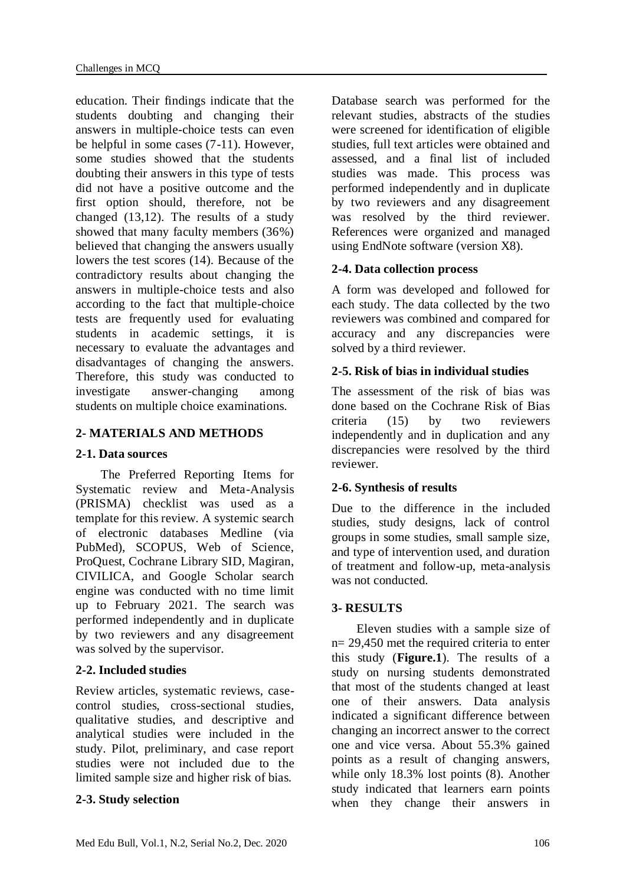education. Their findings indicate that the students doubting and changing their answers in multiple-choice tests can even be helpful in some cases (7-11). However, some studies showed that the students doubting their answers in this type of tests did not have a positive outcome and the first option should, therefore, not be changed (13,12). The results of a study showed that many faculty members (36%) believed that changing the answers usually lowers the test scores (14). Because of the contradictory results about changing the answers in multiple-choice tests and also according to the fact that multiple-choice tests are frequently used for evaluating students in academic settings, it is necessary to evaluate the advantages and disadvantages of changing the answers. Therefore, this study was conducted to investigate answer-changing among students on multiple choice examinations.

# **2- MATERIALS AND METHODS**

# **2-1. Data sources**

 The Preferred Reporting Items for Systematic review and Meta-Analysis (PRISMA) checklist was used as a template for this review. A systemic search of electronic databases Medline (via PubMed), SCOPUS, Web of Science, ProQuest, Cochrane Library SID, Magiran, CIVILICA, and Google Scholar search engine was conducted with no time limit up to February 2021. The search was performed independently and in duplicate by two reviewers and any disagreement was solved by the supervisor.

# **2-2. Included studies**

Review articles, systematic reviews, casecontrol studies, cross-sectional studies, qualitative studies, and descriptive and analytical studies were included in the study. Pilot, preliminary, and case report studies were not included due to the limited sample size and higher risk of bias.

# **2-3. Study selection**

Database search was performed for the relevant studies, abstracts of the studies were screened for identification of eligible studies, full text articles were obtained and assessed, and a final list of included studies was made. This process was performed independently and in duplicate by two reviewers and any disagreement was resolved by the third reviewer. References were organized and managed using EndNote software (version X8).

# **2-4. Data collection process**

A form was developed and followed for each study. The data collected by the two reviewers was combined and compared for accuracy and any discrepancies were solved by a third reviewer.

# **2-5. Risk of bias in individual studies**

The assessment of the risk of bias was done based on the Cochrane Risk of Bias criteria (15) by two reviewers independently and in duplication and any discrepancies were resolved by the third reviewer.

# **2-6. Synthesis of results**

Due to the difference in the included studies, study designs, lack of control groups in some studies, small sample size, and type of intervention used, and duration of treatment and follow-up, meta-analysis was not conducted.

# **3- RESULTS**

 Eleven studies with a sample size of n= 29,450 met the required criteria to enter this study (**Figure.1**). The results of a study on nursing students demonstrated that most of the students changed at least one of their answers. Data analysis indicated a significant difference between changing an incorrect answer to the correct one and vice versa. About 55.3% gained points as a result of changing answers, while only 18.3% lost points (8). Another study indicated that learners earn points when they change their answers in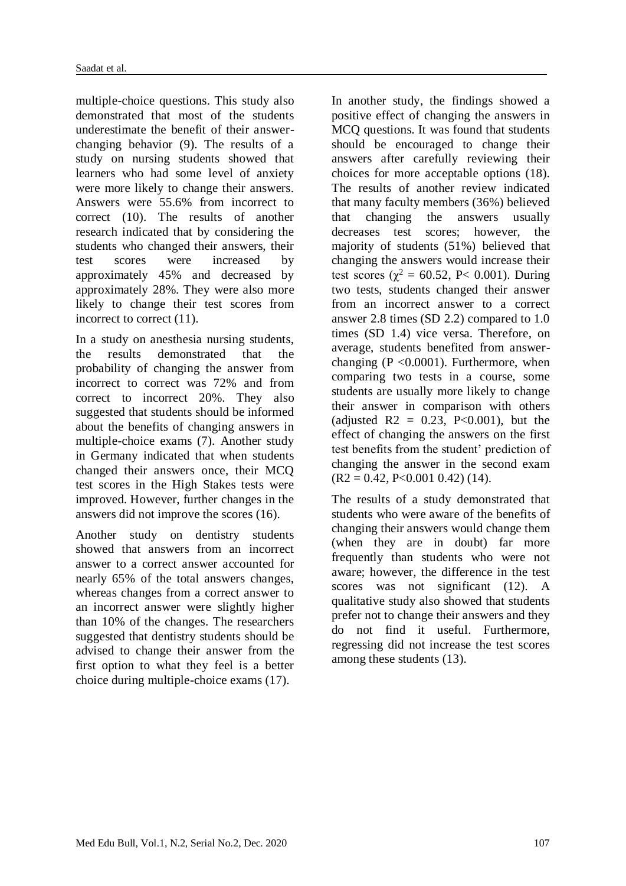multiple-choice questions. This study also demonstrated that most of the students underestimate the benefit of their answerchanging behavior (9). The results of a study on nursing students showed that learners who had some level of anxiety were more likely to change their answers. Answers were 55.6% from incorrect to correct (10). The results of another research indicated that by considering the students who changed their answers, their test scores were increased by approximately 45% and decreased by approximately 28%. They were also more likely to change their test scores from incorrect to correct (11).

In a study on anesthesia nursing students, the results demonstrated that the probability of changing the answer from incorrect to correct was 72% and from correct to incorrect 20%. They also suggested that students should be informed about the benefits of changing answers in multiple-choice exams (7). Another study in Germany indicated that when students changed their answers once, their MCQ test scores in the High Stakes tests were improved. However, further changes in the answers did not improve the scores (16).

Another study on dentistry students showed that answers from an incorrect answer to a correct answer accounted for nearly 65% of the total answers changes, whereas changes from a correct answer to an incorrect answer were slightly higher than 10% of the changes. The researchers suggested that dentistry students should be advised to change their answer from the first option to what they feel is a better choice during multiple-choice exams (17).

In another study, the findings showed a positive effect of changing the answers in MCQ questions. It was found that students should be encouraged to change their answers after carefully reviewing their choices for more acceptable options (18). The results of another review indicated that many faculty members (36%) believed that changing the answers usually decreases test scores; however, the majority of students (51%) believed that changing the answers would increase their test scores ( $\chi^2$  = 60.52, P< 0.001). During two tests, students changed their answer from an incorrect answer to a correct answer 2.8 times (SD 2.2) compared to 1.0 times (SD 1.4) vice versa. Therefore, on average, students benefited from answerchanging  $(P \le 0.0001)$ . Furthermore, when comparing two tests in a course, some students are usually more likely to change their answer in comparison with others (adjusted R2 =  $0.23$ , P<0.001), but the effect of changing the answers on the first test benefits from the student' prediction of changing the answer in the second exam  $(R2 = 0.42, P < 0.001, 0.42)$  (14).

The results of a study demonstrated that students who were aware of the benefits of changing their answers would change them (when they are in doubt) far more frequently than students who were not aware; however, the difference in the test scores was not significant (12). A qualitative study also showed that students prefer not to change their answers and they do not find it useful. Furthermore, regressing did not increase the test scores among these students (13).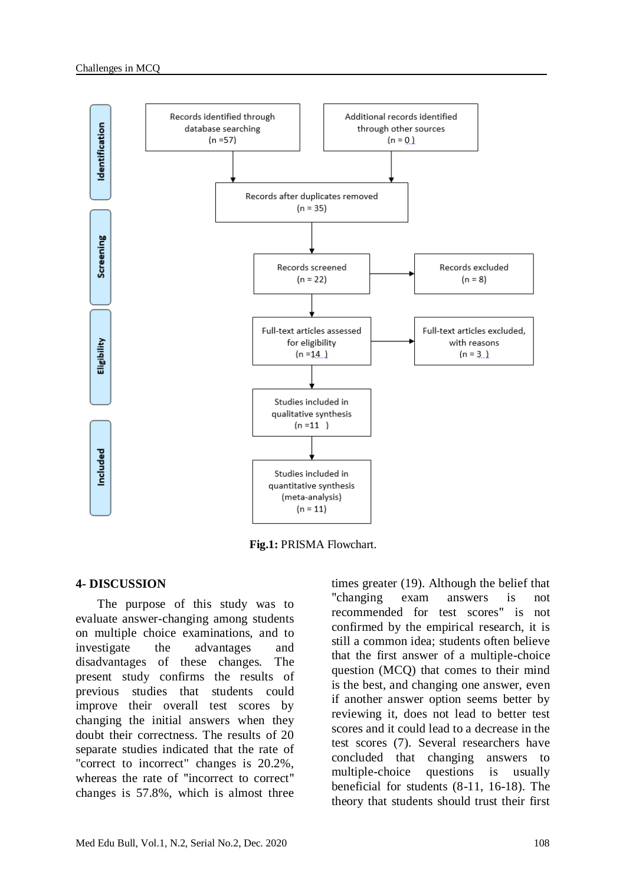

**Fig.1:** PRISMA Flowchart.

#### **4- DISCUSSION**

 The purpose of this study was to evaluate answer-changing among students on multiple choice examinations, and to investigate the advantages and disadvantages of these changes. The present study confirms the results of previous studies that students could improve their overall test scores by changing the initial answers when they doubt their correctness. The results of 20 separate studies indicated that the rate of "correct to incorrect" changes is 20.2%, whereas the rate of "incorrect to correct" changes is 57.8%, which is almost three

times greater (19). Although the belief that "changing exam answers is not recommended for test scores" is not confirmed by the empirical research, it is still a common idea; students often believe that the first answer of a multiple-choice question (MCQ) that comes to their mind is the best, and changing one answer, even if another answer option seems better by reviewing it, does not lead to better test scores and it could lead to a decrease in the test scores (7). Several researchers have concluded that changing answers to multiple-choice questions is usually beneficial for students (8-11, 16-18). The theory that students should trust their first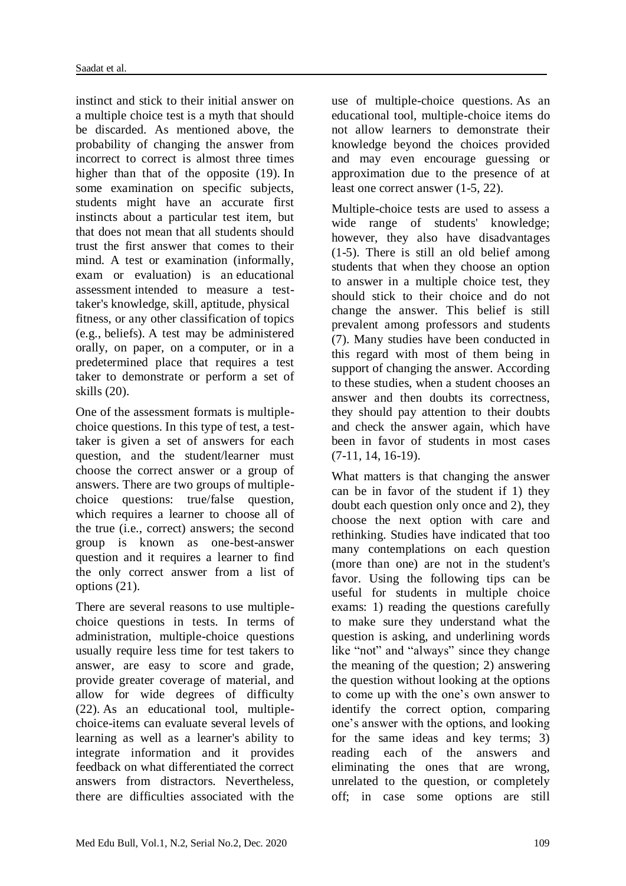instinct and stick to their initial answer on a multiple choice test is a myth that should be discarded. As mentioned above, the probability of changing the answer from incorrect to correct is almost three times higher than that of the opposite (19). In some examination on specific subjects, students might have an accurate first instincts about a particular test item, but that does not mean that all students should trust the first answer that comes to their mind. A test or examination (informally, exam or evaluation) is an [educational](https://en.wikipedia.org/wiki/Educational_assessment)  [assessment](https://en.wikipedia.org/wiki/Educational_assessment) intended to measure a testtaker's [knowledge,](https://en.wikipedia.org/wiki/Knowledge) [skill,](https://en.wikipedia.org/wiki/Skill) [aptitude,](https://en.wikipedia.org/wiki/Aptitude) [physical](https://en.wikipedia.org/wiki/Physical_fitness)  [fitness,](https://en.wikipedia.org/wiki/Physical_fitness) or any other classification of topics (e.g., [beliefs\)](https://en.wikipedia.org/wiki/Belief). A test may be administered orally, on paper, on a [computer,](https://en.wikipedia.org/wiki/Computer-adaptive_testing) or in a predetermined place that requires a test taker to demonstrate or perform a set of skills (20).

One of the assessment formats is multiplechoice questions. In this type of test, a testtaker is given a set of answers for each question, and the student/learner must choose the correct answer or a group of answers. There are two groups of multiplechoice questions: true/false question, which requires a learner to choose all of the true (i.e., correct) answers; the second group is known as one-best-answer question and it requires a learner to find the only correct answer from a list of options (21).

There are several reasons to use multiplechoice questions in tests. In terms of administration, multiple-choice questions usually require less time for test takers to answer, are easy to score and grade, provide greater coverage of material, and allow for wide degrees of difficulty (22). As an educational tool, multiplechoice-items can evaluate several levels of learning as well as a learner's ability to integrate information and it provides feedback on what differentiated the correct answers from distractors. Nevertheless, there are difficulties associated with the

use of multiple-choice questions. As an educational tool, multiple-choice items do not allow learners to demonstrate their knowledge beyond the choices provided and may even encourage guessing or approximation due to the presence of at least one correct answer (1-5, 22).

Multiple-choice tests are used to assess a wide range of students' knowledge; however, they also have disadvantages (1-5). There is still an old belief among students that when they choose an option to answer in a multiple choice test, they should stick to their choice and do not change the answer. This belief is still prevalent among professors and students (7). Many studies have been conducted in this regard with most of them being in support of changing the answer. According to these studies, when a student chooses an answer and then doubts its correctness, they should pay attention to their doubts and check the answer again, which have been in favor of students in most cases (7-11, 14, 16-19).

What matters is that changing the answer can be in favor of the student if 1) they doubt each question only once and 2), they choose the next option with care and rethinking. Studies have indicated that too many contemplations on each question (more than one) are not in the student's favor. Using the following tips can be useful for students in multiple choice exams: 1) reading the questions carefully to make sure they understand what the question is asking, and underlining words like "not" and "always" since they change the meaning of the question; 2) answering the question without looking at the options to come up with the one's own answer to identify the correct option, comparing one's answer with the options, and looking for the same ideas and key terms; 3) reading each of the answers and eliminating the ones that are wrong, unrelated to the question, or completely off; in case some options are still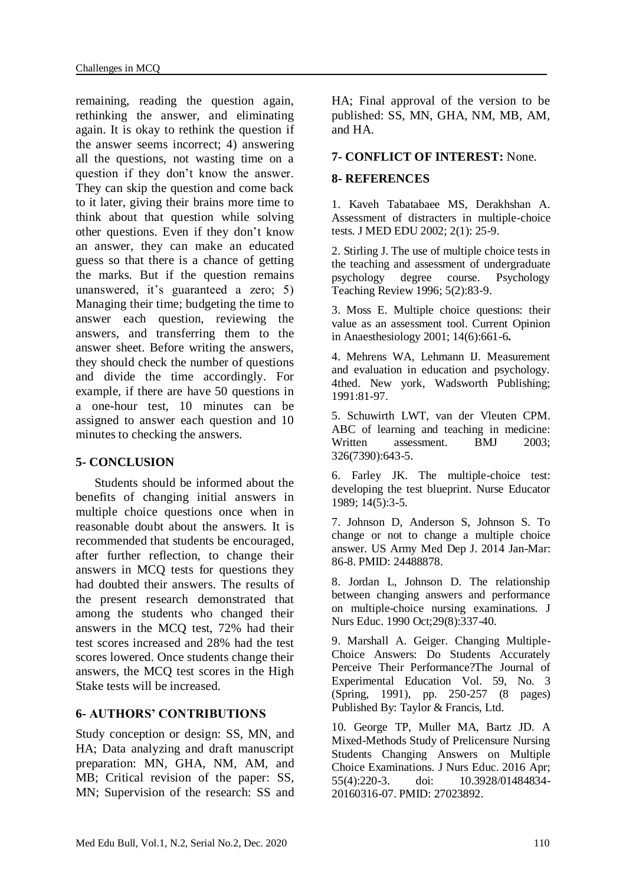remaining, reading the question again, rethinking the answer, and eliminating again. It is okay to rethink the question if the answer seems incorrect; 4) answering all the questions, not wasting time on a question if they don't know the answer. They can skip the question and come back to it later, giving their brains more time to think about that question while solving other questions. Even if they don't know an answer, they can make an educated guess so that there is a chance of getting the marks. But if the question remains unanswered, it's guaranteed a zero; 5) Managing their time; budgeting the time to answer each question, reviewing the answers, and transferring them to the answer sheet. Before writing the answers, they should check the number of questions and divide the time accordingly. For example, if there are have 50 questions in a one-hour test, 10 minutes can be assigned to answer each question and 10 minutes to checking the answers.

# **5- CONCLUSION**

 Students should be informed about the benefits of changing initial answers in multiple choice questions once when in reasonable doubt about the answers. It is recommended that students be encouraged, after further reflection, to change their answers in MCQ tests for questions they had doubted their answers. The results of the present research demonstrated that among the students who changed their answers in the MCQ test, 72% had their test scores increased and 28% had the test scores lowered. Once students change their answers, the MCQ test scores in the High Stake tests will be increased.

# **6- AUTHORS' CONTRIBUTIONS**

Study conception or design: SS, MN, and HA; Data analyzing and draft manuscript preparation: MN, GHA, NM, AM, and MB; Critical revision of the paper: SS, MN; Supervision of the research: SS and HA; Final approval of the version to be published: SS, MN, GHA, NM, MB, AM, and HA.

# **7- CONFLICT OF INTEREST:** None.

### **8- REFERENCES**

1. Kaveh Tabatabaee MS, Derakhshan A. Assessment of distracters in multiple-choice tests. J MED EDU 2002; 2(1): 25-9.

2. Stirling J. The use of multiple choice tests in the teaching and assessment of undergraduate psychology degree course. Psychology Teaching Review 1996; 5(2):83-9.

3. Moss E. Multiple choice questions: their value as an assessment tool. Current Opinion in Anaesthesiology 2001; 14(6):661-6**.**

4. Mehrens WA, Lehmann IJ. Measurement and evaluation in education and psychology. 4thed. New york, Wadsworth Publishing; 1991:81-97.

5. Schuwirth LWT, van der Vleuten CPM. ABC of learning and teaching in medicine: Written assessment. BMJ 2003; 326(7390):643-5.

6. Farley JK. The multiple-choice test: developing the test blueprint. Nurse Educator 1989; 14(5):3-5.

7. Johnson D, Anderson S, Johnson S. To change or not to change a multiple choice answer. US Army Med Dep J. 2014 Jan-Mar: 86-8. PMID: 24488878.

8. Jordan L, Johnson D. The relationship between changing answers and performance on multiple-choice nursing examinations. J Nurs Educ. 1990 Oct;29(8):337-40.

9. Marshall A. Geiger. Changing Multiple-Choice Answers: Do Students Accurately Perceive Their Performance?The Journal of Experimental Education [Vol. 59, No. 3](https://www.jstor.org/stable/i20152284)  [\(Spring, 1991\),](https://www.jstor.org/stable/i20152284) pp. 250-257 (8 pages) Published By: Taylor & Francis, Ltd.

10. George TP, Muller MA, Bartz JD. A Mixed-Methods Study of Prelicensure Nursing Students Changing Answers on Multiple Choice Examinations. J Nurs Educ. 2016 Apr; 55(4):220-3. doi: 10.3928/01484834- 20160316-07. PMID: 27023892.